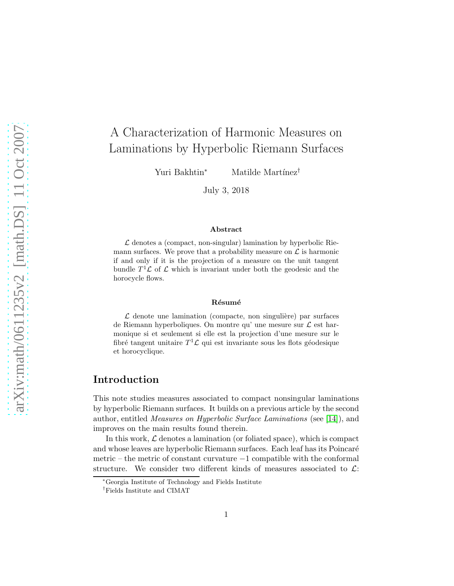# A Characterization of Harmonic Measures on Laminations by Hyperbolic Riemann Surfaces

Yuri Bakhtin<sup>∗</sup> Matilde Martínez<sup>†</sup>

July 3, 2018

#### Abstract

 $\mathcal L$  denotes a (compact, non-singular) lamination by hyperbolic Riemann surfaces. We prove that a probability measure on  $\mathcal L$  is harmonic if and only if it is the projection of a measure on the unit tangent bundle  $T^1$ ,  $\mathcal L$  of  $\mathcal L$  which is invariant under both the geodesic and the horocycle flows.

#### Résumé

 $\mathcal L$  denote une lamination (compacte, non singulière) par surfaces de Riemann hyperboliques. On montre qu' une mesure sur  $\mathcal L$  est harmonique si et seulement si elle est la projection d'une mesure sur le fibré tangent unitaire $T^1\mathcal L$  qui est invariante sous les flots géodesique et horocyclique.

## Introduction

This note studies measures associated to compact nonsingular laminations by hyperbolic Riemann surfaces. It builds on a previous article by the second author, entitled Measures on Hyperbolic Surface Laminations (see [\[14\]](#page-18-0)), and improves on the main results found therein.

In this work,  $\mathcal L$  denotes a lamination (or foliated space), which is compact and whose leaves are hyperbolic Riemann surfaces. Each leaf has its Poincaré metric – the metric of constant curvature –1 compatible with the conformal structure. We consider two different kinds of measures associated to  $\mathcal{L}$ : We consider two different kinds of measures associated to  $\mathcal{L}$ :

<sup>∗</sup>Georgia Institute of Technology and Fields Institute

<sup>†</sup>Fields Institute and CIMAT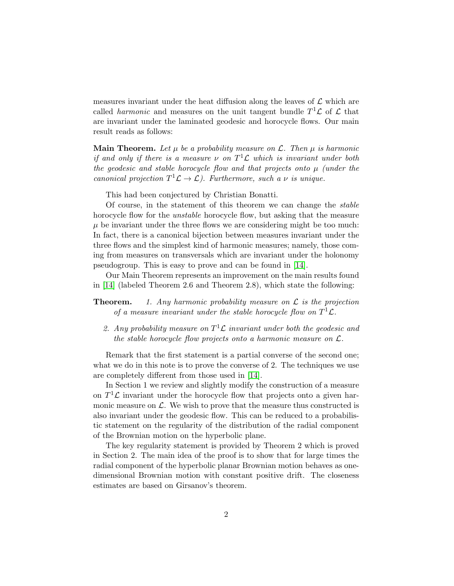measures invariant under the heat diffusion along the leaves of  $\mathcal L$  which are called *harmonic* and measures on the unit tangent bundle  $T^1$ **C** of **C** that are invariant under the laminated geodesic and horocycle flows. Our main result reads as follows:

**Main Theorem.** Let  $\mu$  be a probability measure on  $\mathcal{L}$ . Then  $\mu$  is harmonic if and only if there is a measure  $\nu$  on  $T^1\mathcal{L}$  which is invariant under both the geodesic and stable horocycle flow and that projects onto  $\mu$  (under the canonical projection  $T^1 \mathcal{L} \to \mathcal{L}$ ). Furthermore, such a  $\nu$  is unique.

This had been conjectured by Christian Bonatti.

Of course, in the statement of this theorem we can change the stable horocycle flow for the *unstable* horocycle flow, but asking that the measure  $\mu$  be invariant under the three flows we are considering might be too much: In fact, there is a canonical bijection between measures invariant under the three flows and the simplest kind of harmonic measures; namely, those coming from measures on transversals which are invariant under the holonomy pseudogroup. This is easy to prove and can be found in [\[14\]](#page-18-0).

Our Main Theorem represents an improvement on the main results found in [\[14\]](#page-18-0) (labeled Theorem 2.6 and Theorem 2.8), which state the following:

**Theorem.** 1. Any harmonic probability measure on  $\mathcal{L}$  is the projection of a measure invariant under the stable horocycle flow on  $T^1\mathcal{L}$ .

2. Any probability measure on  $T^1\mathcal{L}$  invariant under both the geodesic and the stable horocycle flow projects onto a harmonic measure on  $\mathcal{L}$ .

Remark that the first statement is a partial converse of the second one; what we do in this note is to prove the converse of 2. The techniques we use are completely different from those used in [\[14\]](#page-18-0).

In Section 1 we review and slightly modify the construction of a measure on  $T^1$ *C* invariant under the horocycle flow that projects onto a given harmonic measure on  $\mathcal{L}$ . We wish to prove that the measure thus constructed is also invariant under the geodesic flow. This can be reduced to a probabilistic statement on the regularity of the distribution of the radial component of the Brownian motion on the hyperbolic plane.

The key regularity statement is provided by Theorem 2 which is proved in Section 2. The main idea of the proof is to show that for large times the radial component of the hyperbolic planar Brownian motion behaves as onedimensional Brownian motion with constant positive drift. The closeness estimates are based on Girsanov's theorem.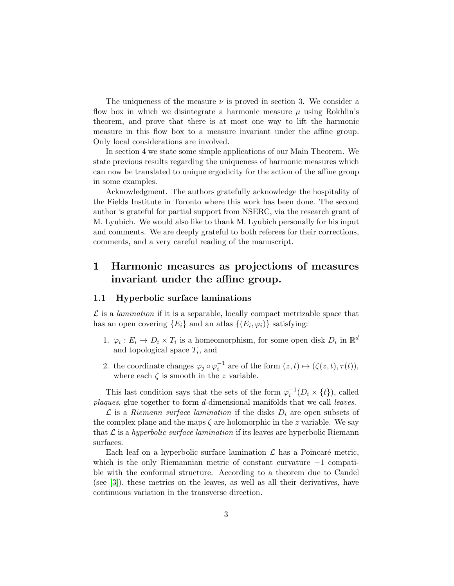The uniqueness of the measure  $\nu$  is proved in section 3. We consider a flow box in which we disintegrate a harmonic measure  $\mu$  using Rokhlin's theorem, and prove that there is at most one way to lift the harmonic measure in this flow box to a measure invariant under the affine group. Only local considerations are involved.

In section 4 we state some simple applications of our Main Theorem. We state previous results regarding the uniqueness of harmonic measures which can now be translated to unique ergodicity for the action of the affine group in some examples.

Acknowledgment. The authors gratefully acknowledge the hospitality of the Fields Institute in Toronto where this work has been done. The second author is grateful for partial support from NSERC, via the research grant of M. Lyubich. We would also like to thank M. Lyubich personally for his input and comments. We are deeply grateful to both referees for their corrections, comments, and a very careful reading of the manuscript.

# 1 Harmonic measures as projections of measures invariant under the affine group.

#### 1.1 Hyperbolic surface laminations

 $\mathcal L$  is a *lamination* if it is a separable, locally compact metrizable space that has an open covering  ${E_i}$  and an atlas  ${(E_i, \varphi_i)}$  satisfying:

- 1.  $\varphi_i : E_i \to D_i \times T_i$  is a homeomorphism, for some open disk  $D_i$  in  $\mathbb{R}^d$ and topological space  $T_i$ , and
- 2. the coordinate changes  $\varphi_j \circ \varphi_i^{-1}$  are of the form  $(z, t) \mapsto (\zeta(z, t), \tau(t)),$ where each  $\zeta$  is smooth in the z variable.

This last condition says that the sets of the form  $\varphi_i^{-1}(D_i \times \{t\})$ , called plaques, glue together to form d-dimensional manifolds that we call leaves.

 $\mathcal L$  is a Riemann surface lamination if the disks  $D_i$  are open subsets of the complex plane and the maps  $\zeta$  are holomorphic in the z variable. We say that  $\mathcal L$  is a hyperbolic surface lamination if its leaves are hyperbolic Riemann surfaces.

Each leaf on a hyperbolic surface lamination  $\mathcal L$  has a Poincaré metric, which is the only Riemannian metric of constant curvature −1 compatible with the conformal structure. According to a theorem due to Candel (see [\[3\]](#page-17-0)), these metrics on the leaves, as well as all their derivatives, have continuous variation in the transverse direction.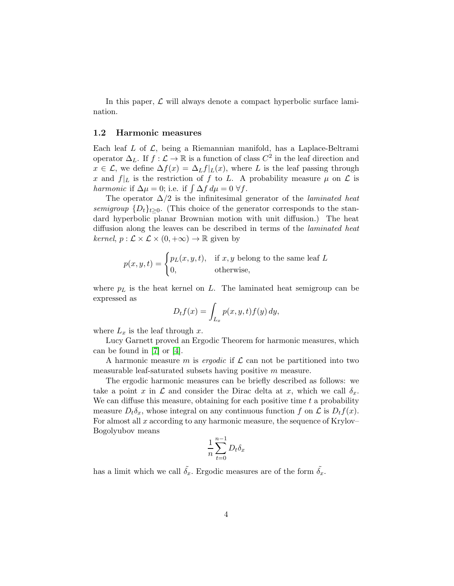In this paper,  $\mathcal L$  will always denote a compact hyperbolic surface lamination.

### 1.2 Harmonic measures

Each leaf L of  $\mathcal{L}$ , being a Riemannian manifold, has a Laplace-Beltrami operator  $\Delta_L$ . If  $f: \mathcal{L} \to \mathbb{R}$  is a function of class  $C^2$  in the leaf direction and  $x \in \mathcal{L}$ , we define  $\Delta f(x) = \Delta_L f|_L(x)$ , where L is the leaf passing through x and  $f|_L$  is the restriction of f to L. A probability measure  $\mu$  on  $\mathcal L$  is harmonic if  $\Delta \mu = 0$ ; i.e. if  $\int \Delta f \, d\mu = 0 \; \forall f$ .

The operator  $\Delta/2$  is the infinitesimal generator of the *laminated heat* semigroup  $\{D_t\}_{t>0}$ . (This choice of the generator corresponds to the standard hyperbolic planar Brownian motion with unit diffusion.) The heat diffusion along the leaves can be described in terms of the laminated heat *kernel*,  $p: \mathcal{L} \times \mathcal{L} \times (0, +\infty) \to \mathbb{R}$  given by

$$
p(x, y, t) = \begin{cases} p_L(x, y, t), & \text{if } x, y \text{ belong to the same leaf } L \\ 0, & \text{otherwise,} \end{cases}
$$

where  $p<sub>L</sub>$  is the heat kernel on  $L$ . The laminated heat semigroup can be expressed as

$$
D_t f(x) = \int_{L_x} p(x, y, t) f(y) dy,
$$

where  $L_x$  is the leaf through x.

Lucy Garnett proved an Ergodic Theorem for harmonic measures, which can be found in [\[7\]](#page-17-1) or [\[4\]](#page-17-2).

A harmonic measure m is ergodic if  $\mathcal L$  can not be partitioned into two measurable leaf-saturated subsets having positive m measure.

The ergodic harmonic measures can be briefly described as follows: we take a point x in  $\mathcal L$  and consider the Dirac delta at x, which we call  $\delta_x$ . We can diffuse this measure, obtaining for each positive time  $t$  a probability measure  $D_t \delta_x$ , whose integral on any continuous function f on  $\mathcal L$  is  $D_t f(x)$ . For almost all  $x$  according to any harmonic measure, the sequence of Krylov– Bogolyubov means

$$
\frac{1}{n}\sum_{t=0}^{n-1}D_t\delta_x
$$

has a limit which we call  $\tilde{\delta}_x$ . Ergodic measures are of the form  $\tilde{\delta}_x$ .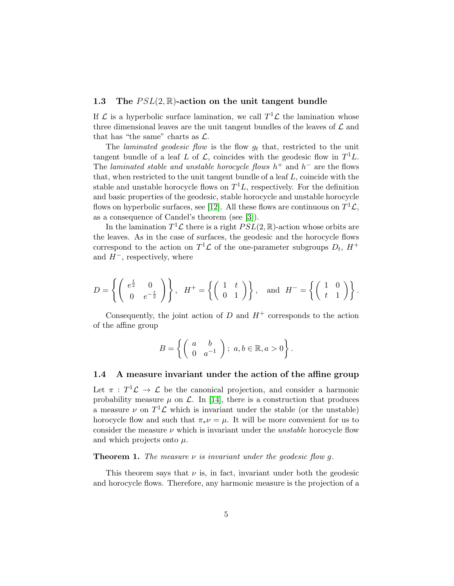### 1.3 The  $PSL(2,\mathbb{R})$ -action on the unit tangent bundle

If  $\mathcal L$  is a hyperbolic surface lamination, we call  $T^1\mathcal L$  the lamination whose three dimensional leaves are the unit tangent bundles of the leaves of  $\mathcal L$  and that has "the same" charts as  $\mathcal{L}$ .

The *laminated geodesic flow* is the flow  $g_t$  that, restricted to the unit tangent bundle of a leaf L of L, coincides with the geodesic flow in  $T^1L$ . The laminated stable and unstable horocycle flows  $h^+$  and  $h^-$  are the flows that, when restricted to the unit tangent bundle of a leaf  $L$ , coincide with the stable and unstable horocycle flows on  $T<sup>1</sup>L$ , respectively. For the definition and basic properties of the geodesic, stable horocycle and unstable horocycle flows on hyperbolic surfaces, see [\[12\]](#page-18-1). All these flows are continuous on  $T^1\mathcal{L}$ , as a consequence of Candel's theorem (see [\[3\]](#page-17-0)).

In the lamination  $T^1 \mathcal{L}$  there is a right  $PSL(2, \mathbb{R})$ -action whose orbits are the leaves. As in the case of surfaces, the geodesic and the horocycle flows correspond to the action on  $T^1$  $\mathcal L$  of the one-parameter subgroups  $D_t$ ,  $H^+$ and  $H^-$ , respectively, where

$$
D = \left\{ \left( \begin{array}{cc} e^{\frac{t}{2}} & 0 \\ 0 & e^{-\frac{t}{2}} \end{array} \right) \right\}, \quad H^+ = \left\{ \left( \begin{array}{cc} 1 & t \\ 0 & 1 \end{array} \right) \right\}, \quad \text{and} \quad H^- = \left\{ \left( \begin{array}{cc} 1 & 0 \\ t & 1 \end{array} \right) \right\}.
$$

Consequently, the joint action of  $D$  and  $H^+$  corresponds to the action of the affine group

$$
B = \left\{ \left( \begin{array}{cc} a & b \\ 0 & a^{-1} \end{array} \right) ; \ a, b \in \mathbb{R}, a > 0 \right\}.
$$

#### 1.4 A measure invariant under the action of the affine group

Let  $\pi$ :  $T^1\mathcal{L} \to \mathcal{L}$  be the canonical projection, and consider a harmonic probability measure  $\mu$  on  $\mathcal{L}$ . In [\[14\]](#page-18-0), there is a construction that produces a measure  $\nu$  on  $T^1$  $\mathcal L$  which is invariant under the stable (or the unstable) horocycle flow and such that  $\pi_* \nu = \mu$ . It will be more convenient for us to consider the measure  $\nu$  which is invariant under the *unstable* horocycle flow and which projects onto  $\mu$ .

**Theorem 1.** The measure  $\nu$  is invariant under the geodesic flow q.

This theorem says that  $\nu$  is, in fact, invariant under both the geodesic and horocycle flows. Therefore, any harmonic measure is the projection of a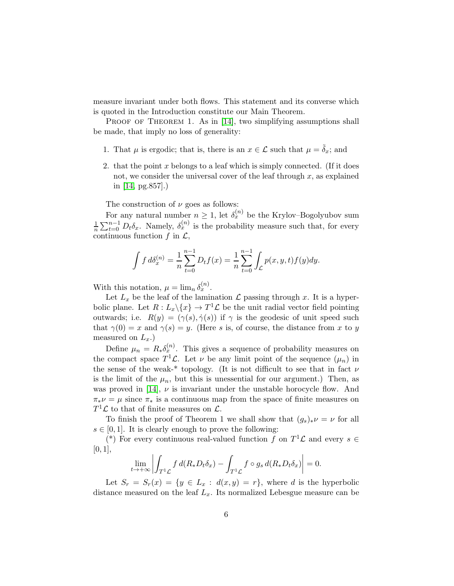measure invariant under both flows. This statement and its converse which is quoted in the Introduction constitute our Main Theorem.

PROOF OF THEOREM 1. As in [\[14\]](#page-18-0), two simplifying assumptions shall be made, that imply no loss of generality:

- 1. That  $\mu$  is ergodic; that is, there is an  $x \in \mathcal{L}$  such that  $\mu = \tilde{\delta}_x$ ; and
- 2. that the point  $x$  belongs to a leaf which is simply connected. (If it does not, we consider the universal cover of the leaf through  $x$ , as explained in [\[14,](#page-18-0) pg.857].)

The construction of  $\nu$  goes as follows:

For any natural number  $n \geq 1$ , let  $\delta_x^{(n)}$  be the Krylov–Bogolyubov sum 1  $\frac{1}{n}\sum_{t=0}^{n-1} D_t \delta_x$ . Namely,  $\delta_x^{(n)}$  is the probability measure such that, for every continuous function  $f$  in  $\mathcal{L}$ ,

$$
\int f d\delta_x^{(n)} = \frac{1}{n} \sum_{t=0}^{n-1} D_t f(x) = \frac{1}{n} \sum_{t=0}^{n-1} \int_{\mathcal{L}} p(x, y, t) f(y) dy.
$$

With this notation,  $\mu = \lim_n \delta_x^{(n)}$ .

Let  $L_x$  be the leaf of the lamination  $\mathcal L$  passing through x. It is a hyperbolic plane. Let  $R: L_x \backslash \{x\} \to T^1 \mathcal{L}$  be the unit radial vector field pointing outwards; i.e.  $R(y) = (\gamma(s), \dot{\gamma}(s))$  if  $\gamma$  is the geodesic of unit speed such that  $\gamma(0) = x$  and  $\gamma(s) = y$ . (Here s is, of course, the distance from x to y measured on  $L_x$ .)

Define  $\mu_n = R_* \delta_x^{(n)}$ . This gives a sequence of probability measures on the compact space  $T^1 \mathcal{L}$ . Let  $\nu$  be any limit point of the sequence  $(\mu_n)$  in the sense of the weak-\* topology. (It is not difficult to see that in fact  $\nu$ is the limit of the  $\mu_n$ , but this is unessential for our argument.) Then, as was proved in [\[14\]](#page-18-0),  $\nu$  is invariant under the unstable horocycle flow. And  $\pi_* \nu = \mu$  since  $\pi_*$  is a continuous map from the space of finite measures on  $T^1\mathcal{L}$  to that of finite measures on  $\mathcal{L}$ .

To finish the proof of Theorem 1 we shall show that  $(g_s)_*\nu = \nu$  for all  $s \in [0, 1]$ . It is clearly enough to prove the following:

(\*) For every continuous real-valued function f on  $T^1\mathcal{L}$  and every  $s \in$  $[0, 1],$ 

$$
\lim_{t \to +\infty} \left| \int_{T^1 \mathcal{L}} f \, d(R_* D_t \delta_x) - \int_{T^1 \mathcal{L}} f \circ g_s \, d(R_* D_t \delta_x) \right| = 0.
$$

Let  $S_r = S_r(x) = \{y \in L_x : d(x,y) = r\}$ , where d is the hyperbolic distance measured on the leaf  $L_x$ . Its normalized Lebesgue measure can be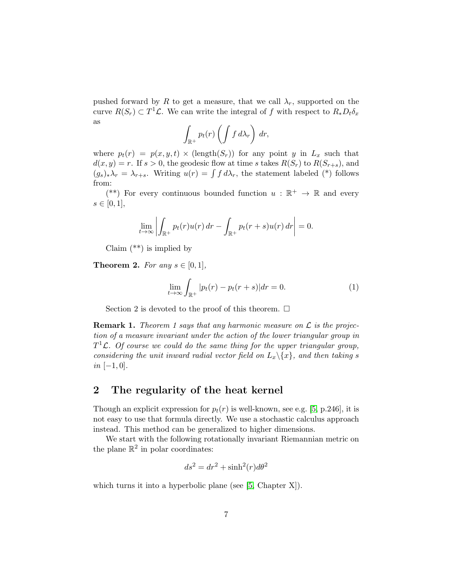pushed forward by R to get a measure, that we call  $\lambda_r$ , supported on the curve  $R(S_r) \subset T^1 \mathcal{L}$ . We can write the integral of f with respect to  $R_* D_t \delta_x$ as

$$
\int_{\mathbb{R}^+} p_t(r) \left( \int f \, d\lambda_r \right) \, dr,
$$

where  $p_t(r) = p(x, y, t) \times (\text{length}(S_r))$  for any point y in  $L_x$  such that  $d(x, y) = r$ . If  $s > 0$ , the geodesic flow at time s takes  $R(S_r)$  to  $R(S_{r+s})$ , and  $(g_s)_*\lambda_r = \lambda_{r+s}$ . Writing  $u(r) = \int f d\lambda_r$ , the statement labeled (\*) follows from:

(\*\*) For every continuous bounded function  $u : \mathbb{R}^+ \to \mathbb{R}$  and every  $s \in [0, 1],$ 

$$
\lim_{t \to \infty} \left| \int_{\mathbb{R}^+} p_t(r) u(r) dr - \int_{\mathbb{R}^+} p_t(r+s) u(r) dr \right| = 0.
$$

Claim  $(**)$  is implied by

**Theorem 2.** For any  $s \in [0,1]$ ,

<span id="page-6-0"></span>
$$
\lim_{t \to \infty} \int_{\mathbb{R}^+} |p_t(r) - p_t(r+s)| dr = 0.
$$
 (1)

Section 2 is devoted to the proof of this theorem.  $\Box$ 

**Remark 1.** Theorem 1 says that any harmonic measure on  $\mathcal{L}$  is the projection of a measure invariant under the action of the lower triangular group in  $T^1$ **L**. Of course we could do the same thing for the upper triangular group, considering the unit inward radial vector field on  $L_x\backslash\{x\}$ , and then taking s  $in [-1, 0].$ 

### 2 The regularity of the heat kernel

Though an explicit expression for  $p_t(r)$  is well-known, see e.g. [\[5,](#page-17-3) p.246], it is not easy to use that formula directly. We use a stochastic calculus approach instead. This method can be generalized to higher dimensions.

We start with the following rotationally invariant Riemannian metric on the plane  $\mathbb{R}^2$  in polar coordinates:

$$
ds^2 = dr^2 + \sinh^2(r)d\theta^2
$$

which turns it into a hyperbolic plane (see [\[5,](#page-17-3) Chapter X]).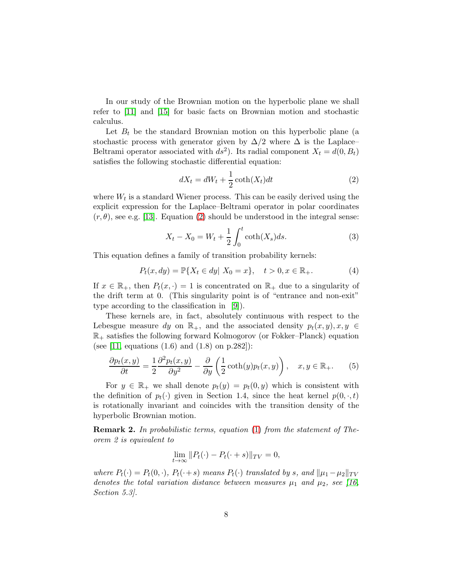In our study of the Brownian motion on the hyperbolic plane we shall refer to [\[11\]](#page-18-2) and [\[15\]](#page-18-3) for basic facts on Brownian motion and stochastic calculus.

Let  $B_t$  be the standard Brownian motion on this hyperbolic plane (a stochastic process with generator given by  $\Delta/2$  where  $\Delta$  is the Laplace– Beltrami operator associated with  $ds^2$ ). Its radial component  $X_t = d(0, B_t)$ satisfies the following stochastic differential equation:

<span id="page-7-0"></span>
$$
dX_t = dW_t + \frac{1}{2}\coth(X_t)dt
$$
\n(2)

where  $W_t$  is a standard Wiener process. This can be easily derived using the explicit expression for the Laplace–Beltrami operator in polar coordinates  $(r, \theta)$ , see e.g. [\[13\]](#page-18-4). Equation [\(2\)](#page-7-0) should be understood in the integral sense:

$$
X_t - X_0 = W_t + \frac{1}{2} \int_0^t \coth(X_s) ds.
$$
 (3)

This equation defines a family of transition probability kernels:

$$
P_t(x, dy) = \mathbb{P}\{X_t \in dy | X_0 = x\}, \quad t > 0, x \in \mathbb{R}_+.
$$
 (4)

If  $x \in \mathbb{R}_+$ , then  $P_t(x, \cdot) = 1$  is concentrated on  $\mathbb{R}_+$  due to a singularity of the drift term at 0. (This singularity point is of "entrance and non-exit" type according to the classification in [\[9\]](#page-18-5)).

These kernels are, in fact, absolutely continuous with respect to the Lebesgue measure dy on  $\mathbb{R}_+$ , and the associated density  $p_t(x, y), x, y \in$  $\mathbb{R}_+$  satisfies the following forward Kolmogorov (or Fokker–Planck) equation (see [\[11,](#page-18-2) equations  $(1.6)$  and  $(1.8)$  on p.282]):

$$
\frac{\partial p_t(x,y)}{\partial t} = \frac{1}{2} \frac{\partial^2 p_t(x,y)}{\partial y^2} - \frac{\partial}{\partial y} \left( \frac{1}{2} \coth(y) p_t(x,y) \right), \quad x, y \in \mathbb{R}_+.
$$
 (5)

For  $y \in \mathbb{R}_+$  we shall denote  $p_t(y) = p_t(0, y)$  which is consistent with the definition of  $p_t(\cdot)$  given in Section 1.4, since the heat kernel  $p(0, \cdot, t)$ is rotationally invariant and coincides with the transition density of the hyperbolic Brownian motion.

Remark 2. In probabilistic terms, equation [\(1\)](#page-6-0) from the statement of Theorem 2 is equivalent to

$$
\lim_{t \to \infty} ||P_t(\cdot) - P_t(\cdot + s)||_{TV} = 0,
$$

where  $P_t(\cdot) = P_t(0, \cdot), P_t(\cdot + s)$  means  $P_t(\cdot)$  translated by s, and  $\|\mu_1 - \mu_2\|_{TV}$ denotes the total variation distance between measures  $\mu_1$  and  $\mu_2$ , see [\[16,](#page-18-6) Section 5.3].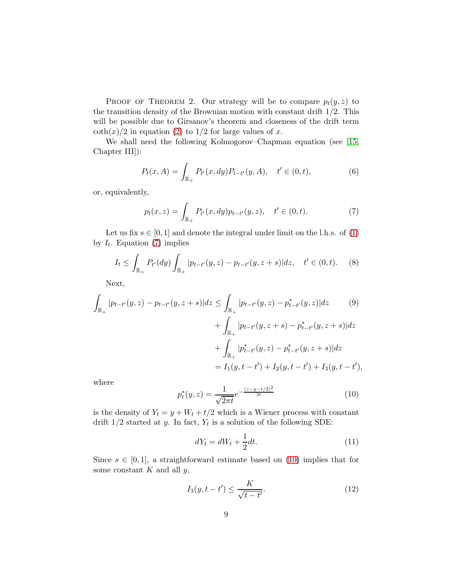PROOF OF THEOREM 2. Our strategy will be to compare  $p_t(y, z)$  to the transition density of the Brownian motion with constant drift  $1/2$ . This will be possible due to Girsanov's theorem and closeness of the drift term  $\coth(x)/2$  in equation [\(2\)](#page-7-0) to 1/2 for large values of x.

We shall need the following Kolmogorov–Chapman equation (see [\[15,](#page-18-3) Chapter III]):

$$
P_t(x, A) = \int_{\mathbb{R}_+} P_{t'}(x, dy) P_{t-t'}(y, A), \quad t' \in (0, t),
$$
 (6)

or, equivalently,

<span id="page-8-0"></span>
$$
p_t(x, z) = \int_{\mathbb{R}_+} P_{t'}(x, dy) p_{t-t'}(y, z), \quad t' \in (0, t).
$$
 (7)

Let us fix  $s \in [0, 1]$  and denote the integral under limit on the l.h.s. of [\(1\)](#page-6-0) by  $I_t$ . Equation [\(7\)](#page-8-0) implies

<span id="page-8-3"></span>
$$
I_t \le \int_{\mathbb{R}_+} P_{t'}(dy) \int_{\mathbb{R}_+} |p_{t-t'}(y, z) - p_{t-t'}(y, z + s)| dz, \quad t' \in (0, t). \tag{8}
$$

Next,

$$
\int_{\mathbb{R}_{+}} |p_{t-t'}(y, z) - p_{t-t'}(y, z + s)| dz \le \int_{\mathbb{R}_{+}} |p_{t-t'}(y, z) - p_{t-t'}^{*}(y, z)| dz \qquad (9)
$$

$$
+ \int_{\mathbb{R}_{+}} |p_{t-t'}(y, z + s) - p_{t-t'}^{*}(y, z + s)| dz
$$

$$
+ \int_{\mathbb{R}_{+}} |p_{t-t'}^{*}(y, z) - p_{t-t'}^{*}(y, z + s)| dz
$$

$$
= I_{1}(y, t - t') + I_{2}(y, t - t') + I_{3}(y, t - t'),
$$

where

<span id="page-8-1"></span>
$$
p_t^*(y, z) = \frac{1}{\sqrt{2\pi t}} e^{-\frac{(z - y - t/2)^2}{2t}}
$$
(10)

is the density of  $Y_t = y + W_t + t/2$  which is a Wiener process with constant drift  $1/2$  started at y. In fact,  $Y_t$  is a solution of the following SDE:

<span id="page-8-2"></span>
$$
dY_t = dW_t + \frac{1}{2}dt.\t\t(11)
$$

Since  $s \in [0,1]$ , a straightforward estimate based on [\(10\)](#page-8-1) implies that for some constant  $K$  and all  $y$ ,

<span id="page-8-4"></span>
$$
I_3(y, t - t') \le \frac{K}{\sqrt{t - t'}}.\tag{12}
$$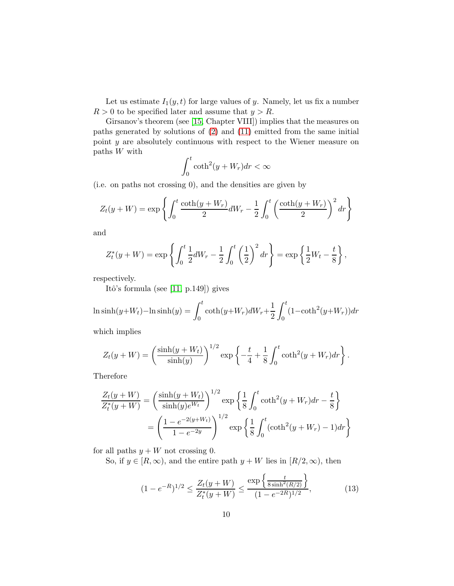Let us estimate  $I_1(y, t)$  for large values of y. Namely, let us fix a number  $R > 0$  to be specified later and assume that  $y > R$ .

Girsanov's theorem (see [\[15,](#page-18-3) Chapter VIII]) implies that the measures on paths generated by solutions of [\(2\)](#page-7-0) and [\(11\)](#page-8-2) emitted from the same initial point y are absolutely continuous with respect to the Wiener measure on paths W with

$$
\int_0^t \coth^2(y + W_r) dr < \infty
$$

(i.e. on paths not crossing 0), and the densities are given by

$$
Z_t(y+W) = \exp\left\{ \int_0^t \frac{\coth(y+W_r)}{2} dW_r - \frac{1}{2} \int_0^t \left(\frac{\coth(y+W_r)}{2}\right)^2 dr \right\}
$$

and

$$
Z_t^*(y + W) = \exp\left\{ \int_0^t \frac{1}{2} dW_r - \frac{1}{2} \int_0^t \left(\frac{1}{2}\right)^2 dr \right\} = \exp\left\{ \frac{1}{2} W_t - \frac{t}{8} \right\},\,
$$

respectively.

Itô's formula (see  $[11, p.149]$ ) gives

$$
\ln \sinh(y + W_t) - \ln \sinh(y) = \int_0^t \coth(y + W_r) dW_r + \frac{1}{2} \int_0^t (1 - \coth^2(y + W_r)) dr
$$

which implies

$$
Z_t(y + W) = \left(\frac{\sinh(y + W_t)}{\sinh(y)}\right)^{1/2} \exp\left\{-\frac{t}{4} + \frac{1}{8} \int_0^t \coth^2(y + W_r) dr\right\}.
$$

Therefore

$$
\frac{Z_t(y+W)}{Z_t^*(y+W)} = \left(\frac{\sinh(y+W_t)}{\sinh(y)e^{W_t}}\right)^{1/2} \exp\left\{\frac{1}{8}\int_0^t \coth^2(y+W_r)dr - \frac{t}{8}\right\}
$$

$$
= \left(\frac{1-e^{-2(y+W_t)}}{1-e^{-2y}}\right)^{1/2} \exp\left\{\frac{1}{8}\int_0^t (\coth^2(y+W_r)-1)dr\right\}
$$

for all paths  $y + W$  not crossing 0.

So, if  $y \in [R, \infty)$ , and the entire path  $y + W$  lies in  $[R/2, \infty)$ , then

<span id="page-9-0"></span>
$$
(1 - e^{-R})^{1/2} \le \frac{Z_t(y + W)}{Z_t^*(y + W)} \le \frac{\exp\left\{\frac{t}{8\sinh^2(R/2)}\right\}}{(1 - e^{-2R})^{1/2}},\tag{13}
$$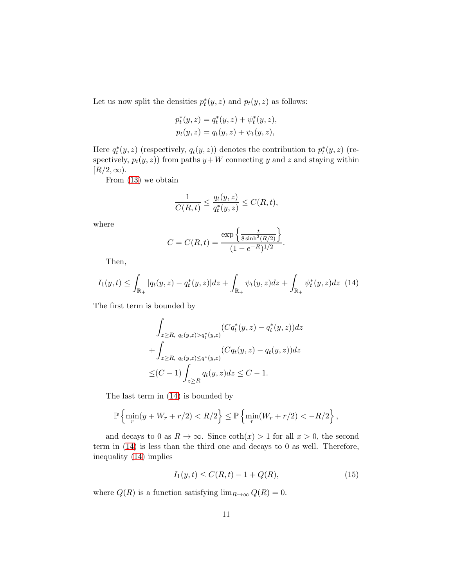Let us now split the densities  $p_t^*(y, z)$  and  $p_t(y, z)$  as follows:

$$
p_t^*(y, z) = q_t^*(y, z) + \psi_t^*(y, z),
$$
  

$$
p_t(y, z) = q_t(y, z) + \psi_t(y, z),
$$

Here  $q_t^*(y, z)$  (respectively,  $q_t(y, z)$ ) denotes the contribution to  $p_t^*(y, z)$  (respectively,  $p_t(y, z)$  from paths  $y+W$  connecting y and z and staying within  $[R/2,\infty)$ .

From [\(13\)](#page-9-0) we obtain

$$
\frac{1}{C(R,t)} \le \frac{q_t(y,z)}{q_t^*(y,z)} \le C(R,t),
$$

where

$$
C = C(R, t) = \frac{\exp\left\{\frac{t}{8\sinh^2(R/2)}\right\}}{(1 - e^{-R})^{1/2}}.
$$

Then,

<span id="page-10-0"></span>
$$
I_1(y,t) \le \int_{\mathbb{R}_+} |q_t(y,z) - q_t^*(y,z)| dz + \int_{\mathbb{R}_+} \psi_t(y,z) dz + \int_{\mathbb{R}_+} \psi_t^*(y,z) dz \tag{14}
$$

The first term is bounded by

$$
\int_{z \ge R, q_t(y,z) > q_t^*(y,z)} (Cq_t^*(y,z) - q_t^*(y,z))dz
$$
  
+ 
$$
\int_{z \ge R, q_t(y,z) \le q^*(y,z)} (Cq_t(y,z) - q_t(y,z))dz
$$
  

$$
\le (C-1) \int_{z \ge R} q_t(y,z)dz \le C-1.
$$

The last term in [\(14\)](#page-10-0) is bounded by

$$
\mathbb{P}\left\{\min_{r}(y+W_r+r/2)< R/2\right\}\leq \mathbb{P}\left\{\min_{r}(W_r+r/2)< -R/2\right\},\right
$$

and decays to 0 as  $R \to \infty$ . Since  $\coth(x) > 1$  for all  $x > 0$ , the second term in [\(14\)](#page-10-0) is less than the third one and decays to 0 as well. Therefore, inequality [\(14\)](#page-10-0) implies

<span id="page-10-1"></span>
$$
I_1(y,t) \le C(R,t) - 1 + Q(R),\tag{15}
$$

where  $Q(R)$  is a function satisfying  $\lim_{R\to\infty} Q(R) = 0$ .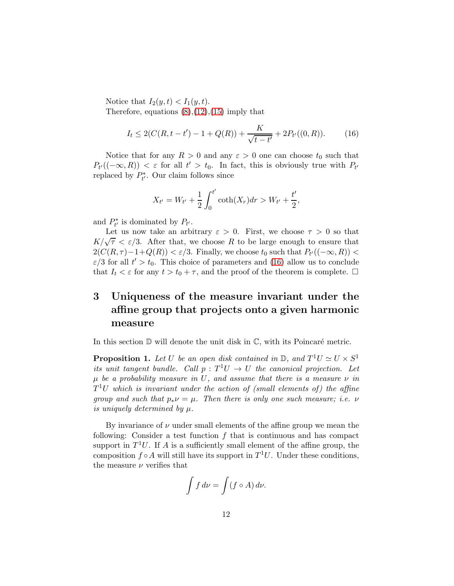Notice that  $I_2(y,t) < I_1(y,t)$ .

Therefore, equations  $(8)$ , $(12)$ , $(15)$  imply that

<span id="page-11-0"></span>
$$
I_t \le 2(C(R, t - t') - 1 + Q(R)) + \frac{K}{\sqrt{t - t'}} + 2P_{t'}((0, R)).
$$
 (16)

Notice that for any  $R > 0$  and any  $\varepsilon > 0$  one can choose  $t_0$  such that  $P_{t'}((-\infty,R)) < \varepsilon$  for all  $t' > t_0$ . In fact, this is obviously true with  $P_{t'}$ replaced by  $P_t^*$ . Our claim follows since

$$
X_{t'} = W_{t'} + \frac{1}{2} \int_0^{t'} \coth(X_r) dr > W_{t'} + \frac{t'}{2},
$$

and  $P_{t'}^*$  is dominated by  $P_{t'}$ .

Let us now take an arbitrary  $\varepsilon > 0$ . First, we choose  $\tau > 0$  so that  $K/\sqrt{\tau} < \varepsilon/3$ . After that, we choose R to be large enough to ensure that  $2(C(R, \tau) - 1 + Q(R)) < \varepsilon/3$ . Finally, we choose  $t_0$  such that  $P_{t'}((-\infty, R)) <$  $\varepsilon/3$  for all  $t' > t_0$ . This choice of parameters and [\(16\)](#page-11-0) allow us to conclude that  $I_t < \varepsilon$  for any  $t > t_0 + \tau$ , and the proof of the theorem is complete.  $\Box$ 

# 3 Uniqueness of the measure invariant under the affine group that projects onto a given harmonic measure

In this section  $\mathbb D$  will denote the unit disk in  $\mathbb C$ , with its Poincaré metric.

**Proposition 1.** Let U be an open disk contained in  $\mathbb{D}$ , and  $T^1U \simeq U \times S^1$ its unit tangent bundle. Call  $p: T^1U \to U$  the canonical projection. Let  $\mu$  be a probability measure in U, and assume that there is a measure  $\nu$  in  $T^1U$  which is invariant under the action of (small elements of) the affine group and such that  $p_* \nu = \mu$ . Then there is only one such measure; i.e.  $\nu$ is uniquely determined by  $\mu$ .

By invariance of  $\nu$  under small elements of the affine group we mean the following: Consider a test function  $f$  that is continuous and has compact support in  $T^1U$ . If A is a sufficiently small element of the affine group, the composition  $f \circ A$  will still have its support in  $T^1U$ . Under these conditions, the measure  $\nu$  verifies that

$$
\int f \, d\nu = \int (f \circ A) \, d\nu.
$$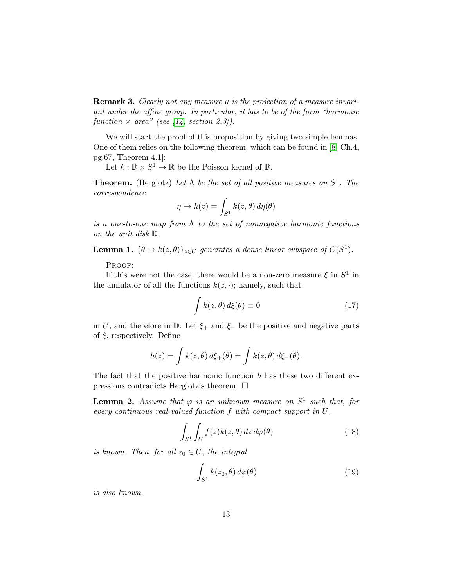**Remark 3.** Clearly not any measure  $\mu$  is the projection of a measure invariant under the affine group. In particular, it has to be of the form "harmonic function  $\times$  area" (see [\[14,](#page-18-0) section 2.3]).

We will start the proof of this proposition by giving two simple lemmas. One of them relies on the following theorem, which can be found in [\[8,](#page-17-4) Ch.4, pg.67, Theorem 4.1]:

Let  $k : \mathbb{D} \times S^1 \to \mathbb{R}$  be the Poisson kernel of  $\mathbb{D}$ .

**Theorem.** (Herglotz) Let  $\Lambda$  be the set of all positive measures on  $S^1$ . The correspondence

$$
\eta \mapsto h(z) = \int_{S^1} k(z,\theta) \, d\eta(\theta)
$$

is a one-to-one map from  $\Lambda$  to the set of nonnegative harmonic functions on the unit disk D.

**Lemma 1.**  $\{\theta \mapsto k(z, \theta)\}_{z \in U}$  generates a dense linear subspace of  $C(S^1)$ .

PROOF:

If this were not the case, there would be a non-zero measure  $\xi$  in  $S^1$  in the annulator of all the functions  $k(z, \cdot)$ ; namely, such that

$$
\int k(z,\theta) d\xi(\theta) \equiv 0 \tag{17}
$$

in U, and therefore in  $\mathbb{D}$ . Let  $\xi_+$  and  $\xi_-$  be the positive and negative parts of  $\xi$ , respectively. Define

$$
h(z) = \int k(z,\theta) d\xi_{+}(\theta) = \int k(z,\theta) d\xi_{-}(\theta).
$$

The fact that the positive harmonic function  $h$  has these two different expressions contradicts Herglotz's theorem.  $\Box$ 

**Lemma 2.** Assume that  $\varphi$  is an unknown measure on  $S^1$  such that, for every continuous real-valued function  $f$  with compact support in  $U$ ,

<span id="page-12-0"></span>
$$
\int_{S^1} \int_U f(z)k(z,\theta) dz d\varphi(\theta) \tag{18}
$$

is known. Then, for all  $z_0 \in U$ , the integral

<span id="page-12-1"></span>
$$
\int_{S^1} k(z_0, \theta) d\varphi(\theta) \tag{19}
$$

is also known.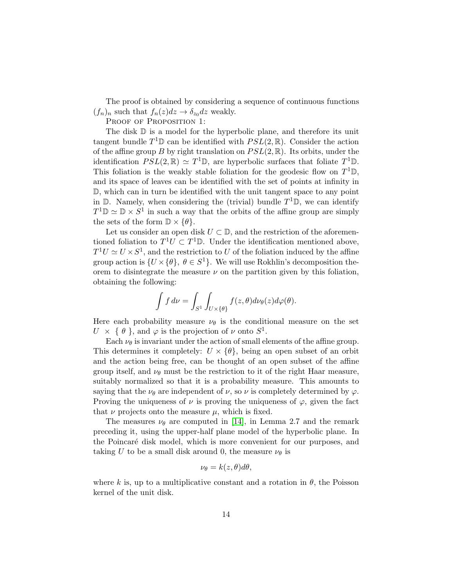The proof is obtained by considering a sequence of continuous functions  $(f_n)_n$  such that  $f_n(z)dz \to \delta_{z_0}dz$  weakly.

PROOF OF PROPOSITION 1:

The disk  $\mathbb D$  is a model for the hyperbolic plane, and therefore its unit tangent bundle  $T^1\mathbb{D}$  can be identified with  $PSL(2,\mathbb{R})$ . Consider the action of the affine group B by right translation on  $PSL(2,\mathbb{R})$ . Its orbits, under the identification  $PSL(2,\mathbb{R}) \simeq T^1\mathbb{D}$ , are hyperbolic surfaces that foliate  $T^1\mathbb{D}$ . This foliation is the weakly stable foliation for the geodesic flow on  $T^1\mathbb{D}$ , and its space of leaves can be identified with the set of points at infinity in D, which can in turn be identified with the unit tangent space to any point in  $\mathbb{D}$ . Namely, when considering the (trivial) bundle  $T^1\mathbb{D}$ , we can identify  $T^1\mathbb{D} \simeq \mathbb{D} \times S^1$  in such a way that the orbits of the affine group are simply the sets of the form  $\mathbb{D} \times \{\theta\}.$ 

Let us consider an open disk  $U \subset \mathbb{D}$ , and the restriction of the aforementioned foliation to  $T^1U \subset T^1\mathbb{D}$ . Under the identification mentioned above,  $T^1U \simeq U \times S^1$ , and the restriction to U of the foliation induced by the affine group action is  $\{U \times \{\theta\}, \ \theta \in S^1\}$ . We will use Rokhlin's decomposition theorem to disintegrate the measure  $\nu$  on the partition given by this foliation, obtaining the following:

$$
\int f d\nu = \int_{S^1} \int_{U \times {\{\theta\}}} f(z, \theta) d\nu_{\theta}(z) d\varphi(\theta).
$$

Here each probability measure  $\nu_{\theta}$  is the conditional measure on the set  $U \times \{\theta\}$ , and  $\varphi$  is the projection of  $\nu$  onto  $S^1$ .

Each  $\nu_{\theta}$  is invariant under the action of small elements of the affine group. This determines it completely:  $U \times {\theta}$ , being an open subset of an orbit and the action being free, can be thought of an open subset of the affine group itself, and  $\nu_{\theta}$  must be the restriction to it of the right Haar measure, suitably normalized so that it is a probability measure. This amounts to saying that the  $\nu_{\theta}$  are independent of  $\nu$ , so  $\nu$  is completely determined by  $\varphi$ . Proving the uniqueness of  $\nu$  is proving the uniqueness of  $\varphi$ , given the fact that  $\nu$  projects onto the measure  $\mu$ , which is fixed.

The measures  $\nu_{\theta}$  are computed in [\[14\]](#page-18-0), in Lemma 2.7 and the remark preceding it, using the upper-half plane model of the hyperbolic plane. In the Poincaré disk model, which is more convenient for our purposes, and taking U to be a small disk around 0, the measure  $\nu_{\theta}$  is

$$
\nu_{\theta} = k(z, \theta) d\theta,
$$

where k is, up to a multiplicative constant and a rotation in  $\theta$ , the Poisson kernel of the unit disk.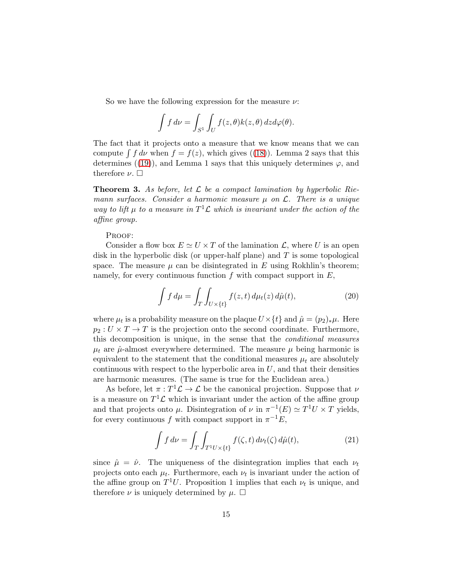So we have the following expression for the measure  $\nu$ :

$$
\int f \, d\nu = \int_{S^1} \int_U f(z,\theta)k(z,\theta) \, dz d\varphi(\theta).
$$

The fact that it projects onto a measure that we know means that we can compute  $\int f d\nu$  when  $f = f(z)$ , which gives ([\(18\)](#page-12-0)). Lemma 2 says that this determines ([\(19\)](#page-12-1)), and Lemma 1 says that this uniquely determines  $\varphi$ , and therefore  $\nu$ .  $\square$ 

**Theorem 3.** As before, let  $\mathcal{L}$  be a compact lamination by hyperbolic Riemann surfaces. Consider a harmonic measure  $\mu$  on  $\mathcal{L}$ . There is a unique way to lift  $\mu$  to a measure in  $T^1\mathcal{L}$  which is invariant under the action of the affine group.

#### PROOF:

Consider a flow box  $E \simeq U \times T$  of the lamination  $\mathcal{L}$ , where U is an open disk in the hyperbolic disk (or upper-half plane) and T is some topological space. The measure  $\mu$  can be disintegrated in E using Rokhlin's theorem; namely, for every continuous function  $f$  with compact support in  $E$ ,

$$
\int f d\mu = \int_{T} \int_{U \times \{t\}} f(z, t) d\mu_t(z) d\hat{\mu}(t), \tag{20}
$$

where  $\mu_t$  is a probability measure on the plaque  $U \times \{t\}$  and  $\hat{\mu} = (p_2)_*\mu$ . Here  $p_2: U \times T \to T$  is the projection onto the second coordinate. Furthermore, this decomposition is unique, in the sense that the conditional measures  $\mu_t$  are  $\hat{\mu}$ -almost everywhere determined. The measure  $\mu$  being harmonic is equivalent to the statement that the conditional measures  $\mu_t$  are absolutely continuous with respect to the hyperbolic area in  $U$ , and that their densities are harmonic measures. (The same is true for the Euclidean area.)

As before, let  $\pi: T^1 \mathcal{L} \to \mathcal{L}$  be the canonical projection. Suppose that  $\nu$ is a measure on  $T^1 \mathcal{L}$  which is invariant under the action of the affine group and that projects onto  $\mu$ . Disintegration of  $\nu$  in  $\pi^{-1}(E) \simeq T^1 U \times T$  yields, for every continuous f with compact support in  $\pi^{-1}E$ ,

$$
\int f d\nu = \int_T \int_{T^1 U \times \{t\}} f(\zeta, t) d\nu_t(\zeta) d\hat{\mu}(t), \tag{21}
$$

since  $\hat{\mu} = \hat{\nu}$ . The uniqueness of the disintegration implies that each  $\nu_t$ projects onto each  $\mu_t$ . Furthermore, each  $\nu_t$  is invariant under the action of the affine group on  $T^1U$ . Proposition 1 implies that each  $\nu_t$  is unique, and therefore  $\nu$  is uniquely determined by  $\mu$ .  $\Box$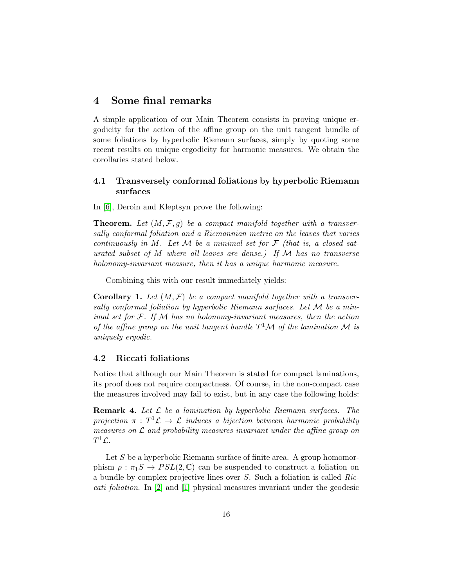### 4 Some final remarks

A simple application of our Main Theorem consists in proving unique ergodicity for the action of the affine group on the unit tangent bundle of some foliations by hyperbolic Riemann surfaces, simply by quoting some recent results on unique ergodicity for harmonic measures. We obtain the corollaries stated below.

### 4.1 Transversely conformal foliations by hyperbolic Riemann surfaces

In [\[6\]](#page-17-5), Deroin and Kleptsyn prove the following:

**Theorem.** Let  $(M, \mathcal{F}, g)$  be a compact manifold together with a transversally conformal foliation and a Riemannian metric on the leaves that varies continuously in M. Let M be a minimal set for  $\mathcal F$  (that is, a closed saturated subset of M where all leaves are dense.) If  $\mathcal M$  has no transverse holonomy-invariant measure, then it has a unique harmonic measure.

Combining this with our result immediately yields:

**Corollary 1.** Let  $(M, \mathcal{F})$  be a compact manifold together with a transversally conformal foliation by hyperbolic Riemann surfaces. Let  $\mathcal M$  be a minimal set for  $F$ . If  $M$  has no holonomy-invariant measures, then the action of the affine group on the unit tangent bundle  $T^1\mathcal{M}$  of the lamination  $\mathcal M$  is uniquely ergodic.

### 4.2 Riccati foliations

Notice that although our Main Theorem is stated for compact laminations, its proof does not require compactness. Of course, in the non-compact case the measures involved may fail to exist, but in any case the following holds:

**Remark 4.** Let  $\mathcal{L}$  be a lamination by hyperbolic Riemann surfaces. The  $projection \; \pi \, : \, T^1 \mathcal{L} \, \rightarrow \, \mathcal{L} \; \; induces \; \; a \; \; bijection \; \; between \; \; harmonic \; \; probability$ measures on  $\mathcal L$  and probability measures invariant under the affine group on  $T^1\mathcal{L}.$ 

Let  $S$  be a hyperbolic Riemann surface of finite area. A group homomorphism  $\rho : \pi_1S \to PSL(2,\mathbb{C})$  can be suspended to construct a foliation on a bundle by complex projective lines over S. Such a foliation is called Riccati foliation. In [\[2\]](#page-17-6) and [\[1\]](#page-17-7) physical measures invariant under the geodesic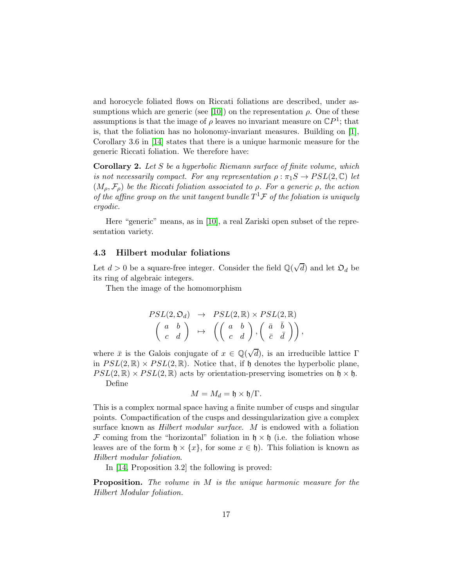and horocycle foliated flows on Riccati foliations are described, under as-sumptions which are generic (see [\[10\]](#page-18-7)) on the representation  $\rho$ . One of these assumptions is that the image of  $\rho$  leaves no invariant measure on  $\mathbb{C}P^1$ ; that is, that the foliation has no holonomy-invariant measures. Building on [\[1\]](#page-17-7), Corollary 3.6 in [\[14\]](#page-18-0) states that there is a unique harmonic measure for the generic Riccati foliation. We therefore have:

**Corollary 2.** Let  $S$  be a hyperbolic Riemann surface of finite volume, which is not necessarily compact. For any representation  $\rho : \pi_1S \to PSL(2,\mathbb{C})$  let  $(M_{\rho}, \mathcal{F}_{\rho})$  be the Riccati foliation associated to  $\rho$ . For a generic  $\rho$ , the action of the affine group on the unit tangent bundle  $T^1\mathcal{F}$  of the foliation is uniquely ergodic.

Here "generic" means, as in [\[10\]](#page-18-7), a real Zariski open subset of the representation variety.

#### 4.3 Hilbert modular foliations

Let  $d > 0$  be a square-free integer. Consider the field  $\mathbb{Q}(\sqrt{d})$  and let  $\mathfrak{O}_d$  be its ring of algebraic integers.

Then the image of the homomorphism

$$
\begin{array}{ccc} PSL(2,\mathfrak{O}_d) & \rightarrow & PSL(2,\mathbb{R}) \times PSL(2,\mathbb{R}) \\ \begin{pmatrix} a & b \\ c & d \end{pmatrix} & \mapsto & \left( \begin{pmatrix} a & b \\ c & d \end{pmatrix}, \begin{pmatrix} \bar{a} & \bar{b} \\ \bar{c} & \bar{d} \end{pmatrix} \right), \end{array}
$$

where  $\bar{x}$  is the Galois conjugate of  $x \in \mathbb{Q}(\sqrt{d})$ , is an irreducible lattice  $\Gamma$ in  $PSL(2,\mathbb{R}) \times PSL(2,\mathbb{R})$ . Notice that, if h denotes the hyperbolic plane,  $PSL(2,\mathbb{R}) \times PSL(2,\mathbb{R})$  acts by orientation-preserving isometries on  $\mathfrak{h} \times \mathfrak{h}$ . Define

$$
M=M_d=\mathfrak{h}\times\mathfrak{h}/\Gamma.
$$

This is a complex normal space having a finite number of cusps and singular points. Compactification of the cusps and dessingularization give a complex surface known as Hilbert modular surface. M is endowed with a foliation F coming from the "horizontal" foliation in  $\mathfrak{h} \times \mathfrak{h}$  (i.e. the foliation whose leaves are of the form  $\mathfrak{h} \times \{x\}$ , for some  $x \in \mathfrak{h}$ ). This foliation is known as Hilbert modular foliation.

In [\[14,](#page-18-0) Proposition 3.2] the following is proved:

Proposition. The volume in M is the unique harmonic measure for the Hilbert Modular foliation.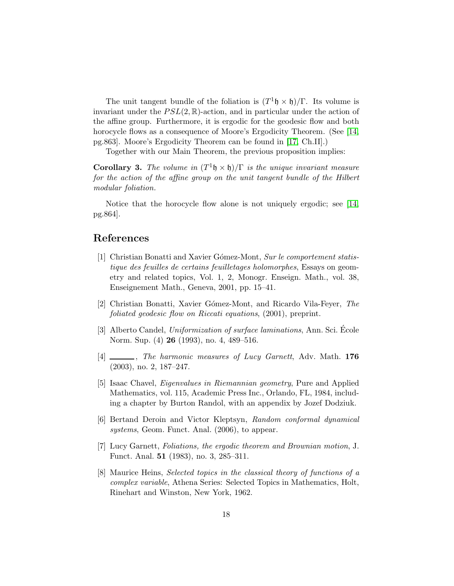The unit tangent bundle of the foliation is  $(T<sup>1</sup> \mathfrak{h} \times \mathfrak{h})/\Gamma$ . Its volume is invariant under the  $PSL(2,\mathbb{R})$ -action, and in particular under the action of the affine group. Furthermore, it is ergodic for the geodesic flow and both horocycle flows as a consequence of Moore's Ergodicity Theorem. (See [\[14,](#page-18-0) pg.863]. Moore's Ergodicity Theorem can be found in [\[17,](#page-18-8) Ch.II].)

Together with our Main Theorem, the previous proposition implies:

**Corollary 3.** The volume in  $(T^1 \mathfrak{h} \times \mathfrak{h})/\Gamma$  is the unique invariant measure for the action of the affine group on the unit tangent bundle of the Hilbert modular foliation.

Notice that the horocycle flow alone is not uniquely ergodic; see [\[14,](#page-18-0) pg.864].

### <span id="page-17-7"></span>References

- [1] Christian Bonatti and Xavier Gómez-Mont, Sur le comportement statistique des feuilles de certains feuilletages holomorphes, Essays on geometry and related topics, Vol. 1, 2, Monogr. Enseign. Math., vol. 38, Enseignement Math., Geneva, 2001, pp. 15–41.
- <span id="page-17-6"></span><span id="page-17-0"></span>[2] Christian Bonatti, Xavier G´omez-Mont, and Ricardo Vila-Feyer, The foliated geodesic flow on Riccati equations, (2001), preprint.
- [3] Alberto Candel, Uniformization of surface laminations, Ann. Sci. École Norm. Sup. (4) 26 (1993), no. 4, 489–516.
- <span id="page-17-2"></span>[4]  $\frac{1}{2}$ , The harmonic measures of Lucy Garnett, Adv. Math. 176 (2003), no. 2, 187–247.
- <span id="page-17-3"></span>[5] Isaac Chavel, Eigenvalues in Riemannian geometry, Pure and Applied Mathematics, vol. 115, Academic Press Inc., Orlando, FL, 1984, including a chapter by Burton Randol, with an appendix by Jozef Dodziuk.
- <span id="page-17-5"></span><span id="page-17-1"></span>[6] Bertand Deroin and Victor Kleptsyn, Random conformal dynamical systems, Geom. Funct. Anal. (2006), to appear.
- [7] Lucy Garnett, Foliations, the ergodic theorem and Brownian motion, J. Funct. Anal. 51 (1983), no. 3, 285–311.
- <span id="page-17-4"></span>[8] Maurice Heins, Selected topics in the classical theory of functions of a complex variable, Athena Series: Selected Topics in Mathematics, Holt, Rinehart and Winston, New York, 1962.